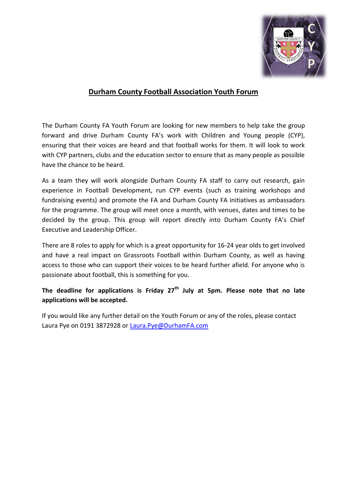

## **Durham County Football Association Youth Forum**

The Durham County FA Youth Forum are looking for new members to help take the group forward and drive Durham County FA's work with Children and Young people (CYP), ensuring that their voices are heard and that football works for them. It will look to work with CYP partners, clubs and the education sector to ensure that as many people as possible have the chance to be heard.

As a team they will work alongside Durham County FA staff to carry out research, gain experience in Football Development, run CYP events (such as training workshops and fundraising events) and promote the FA and Durham County FA initiatives as ambassadors for the programme. The group will meet once a month, with venues, dates and times to be decided by the group. This group will report directly into Durham County FA's Chief Executive and Leadership Officer.

There are 8 roles to apply for which is a great opportunity for 16-24 year olds to get involved and have a real impact on Grassroots Football within Durham County, as well as having access to those who can support their voices to be heard further afield. For anyone who is passionate about football, this is something for you.

**The deadline for applications is Friday 27th July at 5pm. Please note that no late applications will be accepted.**

If you would like any further detail on the Youth Forum or any of the roles, please contact Laura Pye on 0191 3872928 or [Laura.Pye@DurhamFA.com](mailto:Laura.Pye@DurhamFA.com)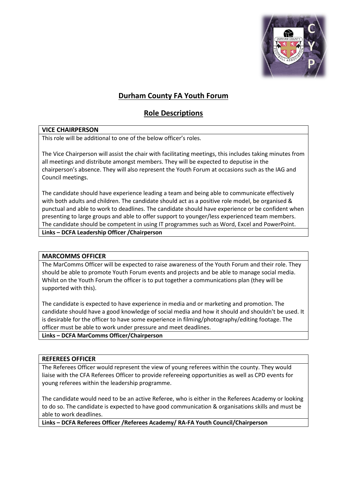

# **Durham County FA Youth Forum**

## **Role Descriptions**

## **VICE CHAIRPERSON**

This role will be additional to one of the below officer's roles.

The Vice Chairperson will assist the chair with facilitating meetings, this includes taking minutes from all meetings and distribute amongst members. They will be expected to deputise in the chairperson's absence. They will also represent the Youth Forum at occasions such as the IAG and Council meetings.

The candidate should have experience leading a team and being able to communicate effectively with both adults and children. The candidate should act as a positive role model, be organised & punctual and able to work to deadlines. The candidate should have experience or be confident when presenting to large groups and able to offer support to younger/less experienced team members. The candidate should be competent in using IT programmes such as Word, Excel and PowerPoint. **Links – DCFA Leadership Officer /Chairperson**

## **MARCOMMS OFFICER**

The MarComms Officer will be expected to raise awareness of the Youth Forum and their role. They should be able to promote Youth Forum events and projects and be able to manage social media. Whilst on the Youth Forum the officer is to put together a communications plan (they will be supported with this).

The candidate is expected to have experience in media and or marketing and promotion. The candidate should have a good knowledge of social media and how it should and shouldn't be used. It is desirable for the officer to have some experience in filming/photography/editing footage. The officer must be able to work under pressure and meet deadlines.

## **Links – DCFA MarComms Officer/Chairperson**

## **REFEREES OFFICER**

The Referees Officer would represent the view of young referees within the county. They would liaise with the CFA Referees Officer to provide refereeing opportunities as well as CPD events for young referees within the leadership programme.

The candidate would need to be an active Referee, who is either in the Referees Academy or looking to do so. The candidate is expected to have good communication & organisations skills and must be able to work deadlines.

**Links – DCFA Referees Officer /Referees Academy/ RA-FA Youth Council/Chairperson**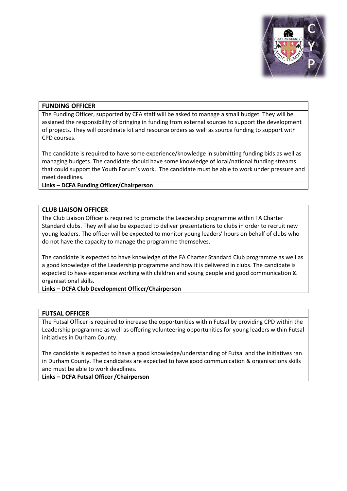

## **FUNDING OFFICER**

The Funding Officer, supported by CFA staff will be asked to manage a small budget. They will be assigned the responsibility of bringing in funding from external sources to support the development of projects. They will coordinate kit and resource orders as well as source funding to support with CPD courses.

The candidate is required to have some experience/knowledge in submitting funding bids as well as managing budgets. The candidate should have some knowledge of local/national funding streams that could support the Youth Forum's work. The candidate must be able to work under pressure and meet deadlines.

**Links – DCFA Funding Officer/Chairperson**

#### **CLUB LIAISON OFFICER**

The Club Liaison Officer is required to promote the Leadership programme within FA Charter Standard clubs. They will also be expected to deliver presentations to clubs in order to recruit new young leaders. The officer will be expected to monitor young leaders' hours on behalf of clubs who do not have the capacity to manage the programme themselves.

The candidate is expected to have knowledge of the FA Charter Standard Club programme as well as a good knowledge of the Leadership programme and how it is delivered in clubs. The candidate is expected to have experience working with children and young people and good communication & organisational skills.

#### **Links – DCFA Club Development Officer/Chairperson**

#### **FUTSAL OFFICER**

The Futsal Officer is required to increase the opportunities within Futsal by providing CPD within the Leadership programme as well as offering volunteering opportunities for young leaders within Futsal initiatives in Durham County.

The candidate is expected to have a good knowledge/understanding of Futsal and the initiatives ran in Durham County. The candidates are expected to have good communication & organisations skills and must be able to work deadlines.

**Links – DCFA Futsal Officer /Chairperson**